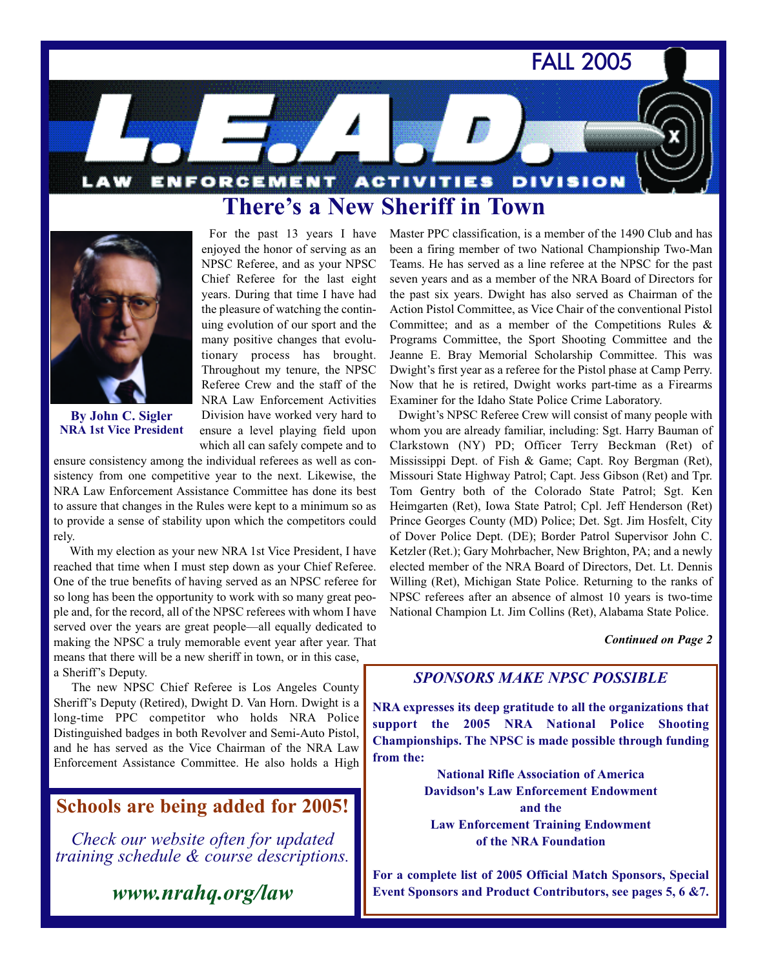FALL 2005

**DIVISION** ENFORCEMENT ACTIVITIES **There's a New Sheriff in Town**



**By John C. Sigler NRA 1st Vice President**

For the past 13 years I have enjoyed the honor of serving as an NPSC Referee, and as your NPSC Chief Referee for the last eight years. During that time I have had the pleasure of watching the continuing evolution of our sport and the many positive changes that evolutionary process has brought. Throughout my tenure, the NPSC Referee Crew and the staff of the NRA Law Enforcement Activities Division have worked very hard to ensure a level playing field upon which all can safely compete and to

ensure consistency among the individual referees as well as consistency from one competitive year to the next. Likewise, the NRA Law Enforcement Assistance Committee has done its best to assure that changes in the Rules were kept to a minimum so as to provide a sense of stability upon which the competitors could rely.

With my election as your new NRA 1st Vice President, I have reached that time when I must step down as your Chief Referee. One of the true benefits of having served as an NPSC referee for so long has been the opportunity to work with so many great people and, for the record, all of the NPSC referees with whom I have served over the years are great people—all equally dedicated to making the NPSC a truly memorable event year after year. That means that there will be a new sheriff in town, or in this case, a Sheriff's Deputy.

The new NPSC Chief Referee is Los Angeles County Sheriff's Deputy (Retired), Dwight D. Van Horn. Dwight is a long-time PPC competitor who holds NRA Police Distinguished badges in both Revolver and Semi-Auto Pistol, and he has served as the Vice Chairman of the NRA Law Enforcement Assistance Committee. He also holds a High

### **Schools are being added for 2005!**

*Check our website often for updated training schedule & course descriptions.*

*www.nrahq.org/law*

Master PPC classification, is a member of the 1490 Club and has been a firing member of two National Championship Two-Man Teams. He has served as a line referee at the NPSC for the past seven years and as a member of the NRA Board of Directors for the past six years. Dwight has also served as Chairman of the Action Pistol Committee, as Vice Chair of the conventional Pistol Committee; and as a member of the Competitions Rules & Programs Committee, the Sport Shooting Committee and the Jeanne E. Bray Memorial Scholarship Committee. This was Dwight's first year as a referee for the Pistol phase at Camp Perry. Now that he is retired, Dwight works part-time as a Firearms Examiner for the Idaho State Police Crime Laboratory.

**A** 

Dwight's NPSC Referee Crew will consist of many people with whom you are already familiar, including: Sgt. Harry Bauman of Clarkstown (NY) PD; Officer Terry Beckman (Ret) of Mississippi Dept. of Fish & Game; Capt. Roy Bergman (Ret), Missouri State Highway Patrol; Capt. Jess Gibson (Ret) and Tpr. Tom Gentry both of the Colorado State Patrol; Sgt. Ken Heimgarten (Ret), Iowa State Patrol; Cpl. Jeff Henderson (Ret) Prince Georges County (MD) Police; Det. Sgt. Jim Hosfelt, City of Dover Police Dept. (DE); Border Patrol Supervisor John C. Ketzler (Ret.); Gary Mohrbacher, New Brighton, PA; and a newly elected member of the NRA Board of Directors, Det. Lt. Dennis Willing (Ret), Michigan State Police. Returning to the ranks of NPSC referees after an absence of almost 10 years is two-time National Champion Lt. Jim Collins (Ret), Alabama State Police.

#### *Continued on Page 2*

### *SPONSORS MAKE NPSC POSSIBLE*

**NRA expresses its deep gratitude to all the organizations that support the 2005 NRA National Police Shooting Championships. The NPSC is made possible through funding from the:**

> **National Rifle Association of America Davidson's Law Enforcement Endowment and the Law Enforcement Training Endowment of the NRA Foundation**

**For a complete list of 2005 Official Match Sponsors, Special Event Sponsors and Product Contributors, see pages 5, 6 &7.**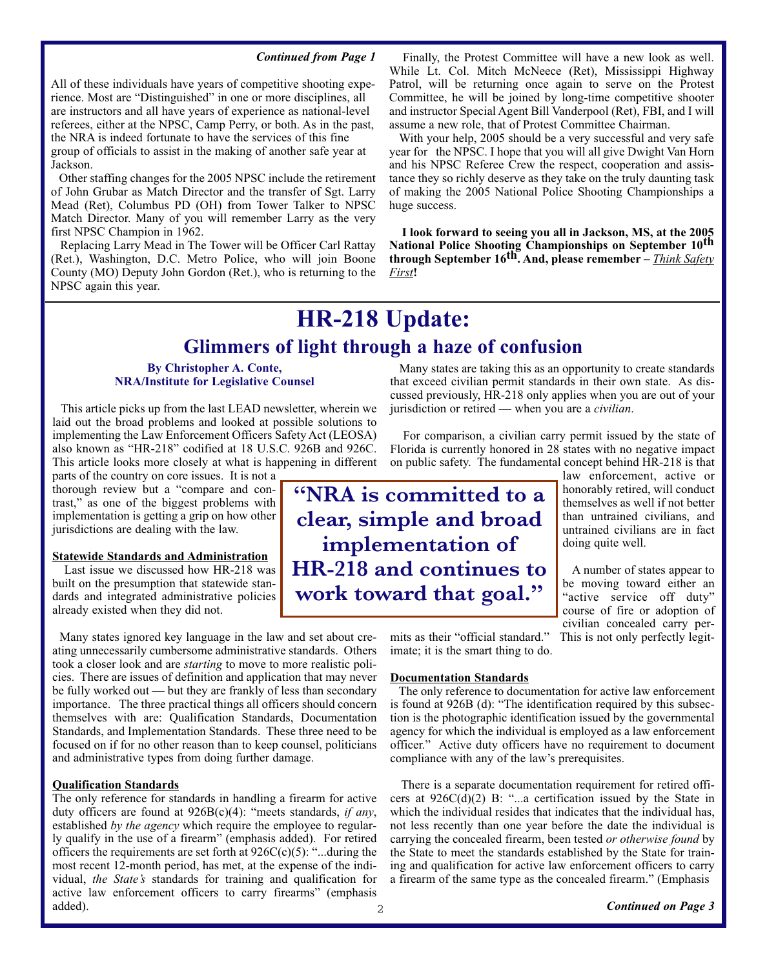#### *Continued from Page 1*

All of these individuals have years of competitive shooting experience. Most are "Distinguished" in one or more disciplines, all are instructors and all have years of experience as national-level referees, either at the NPSC, Camp Perry, or both. As in the past, the NRA is indeed fortunate to have the services of this fine group of officials to assist in the making of another safe year at Jackson.

Other staffing changes for the 2005 NPSC include the retirement of John Grubar as Match Director and the transfer of Sgt. Larry Mead (Ret), Columbus PD (OH) from Tower Talker to NPSC Match Director. Many of you will remember Larry as the very first NPSC Champion in 1962.

Replacing Larry Mead in The Tower will be Officer Carl Rattay (Ret.), Washington, D.C. Metro Police, who will join Boone County (MO) Deputy John Gordon (Ret.), who is returning to the NPSC again this year.

Finally, the Protest Committee will have a new look as well. While Lt. Col. Mitch McNeece (Ret), Mississippi Highway Patrol, will be returning once again to serve on the Protest Committee, he will be joined by long-time competitive shooter and instructor Special Agent Bill Vanderpool (Ret), FBI, and I will assume a new role, that of Protest Committee Chairman.

With your help, 2005 should be a very successful and very safe year for the NPSC. I hope that you will all give Dwight Van Horn and his NPSC Referee Crew the respect, cooperation and assistance they so richly deserve as they take on the truly daunting task of making the 2005 National Police Shooting Championships a huge success.

**I look forward to seeing you all in Jackson, MS, at the 2005 National Police Shooting Championships on September 10th through September 16th. And, please remember –** *Think Safety First***!**

## **HR-218 Update:**

### **Glimmers of light through a haze of confusion**

#### **By Christopher A. Conte, NRA/Institute for Legislative Counsel**

This article picks up from the last LEAD newsletter, wherein we laid out the broad problems and looked at possible solutions to implementing the Law Enforcement Officers Safety Act (LEOSA) also known as "HR-218" codified at 18 U.S.C. 926B and 926C. This article looks more closely at what is happening in different

parts of the country on core issues. It is not a thorough review but a "compare and contrast," as one of the biggest problems with implementation is getting a grip on how other jurisdictions are dealing with the law.

#### **Statewide Standards and Administration**

Last issue we discussed how HR-218 was built on the presumption that statewide standards and integrated administrative policies already existed when they did not.

Many states ignored key language in the law and set about creating unnecessarily cumbersome administrative standards. Others took a closer look and are *starting* to move to more realistic policies. There are issues of definition and application that may never be fully worked out — but they are frankly of less than secondary importance. The three practical things all officers should concern themselves with are: Qualification Standards, Documentation Standards, and Implementation Standards. These three need to be focused on if for no other reason than to keep counsel, politicians and administrative types from doing further damage.

#### **Qualification Standards**

The only reference for standards in handling a firearm for active duty officers are found at 926B(c)(4): "meets standards, *if any*, established *by the agency* which require the employee to regularly qualify in the use of a firearm" (emphasis added). For retired officers the requirements are set forth at  $926C(c)(5)$ : "...during the most recent 12-month period, has met, at the expense of the individual, *the State's* standards for training and qualification for active law enforcement officers to carry firearms" (emphasis added).

Many states are taking this as an opportunity to create standards that exceed civilian permit standards in their own state. As discussed previously, HR-218 only applies when you are out of your jurisdiction or retired — when you are a *civilian*.

For comparison, a civilian carry permit issued by the state of Florida is currently honored in 28 states with no negative impact on public safety. The fundamental concept behind HR-218 is that

**"NRA is committed to a clear, simple and broad implementation of HR-218 and continues to work toward that goal."**

law enforcement, active or honorably retired, will conduct themselves as well if not better than untrained civilians, and untrained civilians are in fact doing quite well.

A number of states appear to be moving toward either an "active service off duty" course of fire or adoption of civilian concealed carry permits as their "official standard." This is not only perfectly legit-

imate; it is the smart thing to do.

#### **Documentation Standards**

The only reference to documentation for active law enforcement is found at 926B (d): "The identification required by this subsection is the photographic identification issued by the governmental agency for which the individual is employed as a law enforcement officer." Active duty officers have no requirement to document compliance with any of the law's prerequisites.

There is a separate documentation requirement for retired officers at  $926C(\overline{d})(2)$  B: "...a certification issued by the State in which the individual resides that indicates that the individual has, not less recently than one year before the date the individual is carrying the concealed firearm, been tested *or otherwise found* by the State to meet the standards established by the State for training and qualification for active law enforcement officers to carry a firearm of the same type as the concealed firearm." (Emphasis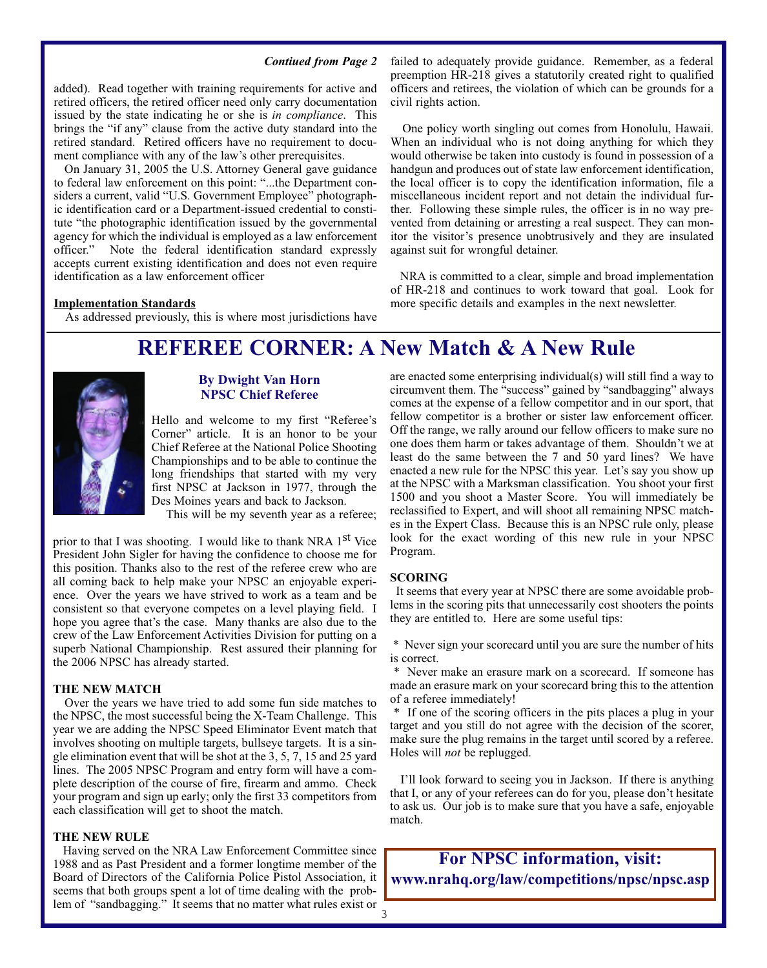#### *Contiued from Page 2*

added). Read together with training requirements for active and retired officers, the retired officer need only carry documentation issued by the state indicating he or she is *in compliance*. This brings the "if any" clause from the active duty standard into the retired standard. Retired officers have no requirement to document compliance with any of the law's other prerequisites.

On January 31, 2005 the U.S. Attorney General gave guidance to federal law enforcement on this point: "...the Department considers a current, valid "U.S. Government Employee" photographic identification card or a Department-issued credential to constitute "the photographic identification issued by the governmental agency for which the individual is employed as a law enforcement officer." Note the federal identification standard expressly accepts current existing identification and does not even require identification as a law enforcement officer

#### **Implementation Standards**

As addressed previously, this is where most jurisdictions have

failed to adequately provide guidance. Remember, as a federal preemption HR-218 gives a statutorily created right to qualified officers and retirees, the violation of which can be grounds for a civil rights action.

One policy worth singling out comes from Honolulu, Hawaii. When an individual who is not doing anything for which they would otherwise be taken into custody is found in possession of a handgun and produces out of state law enforcement identification, the local officer is to copy the identification information, file a miscellaneous incident report and not detain the individual further. Following these simple rules, the officer is in no way prevented from detaining or arresting a real suspect. They can monitor the visitor's presence unobtrusively and they are insulated against suit for wrongful detainer.

NRA is committed to a clear, simple and broad implementation of HR-218 and continues to work toward that goal. Look for more specific details and examples in the next newsletter.

### **REFEREE CORNER: A New Match & A New Rule**



#### **By Dwight Van Horn NPSC Chief Referee**

Hello and welcome to my first "Referee's Corner" article. It is an honor to be your Chief Referee at the National Police Shooting Championships and to be able to continue the long friendships that started with my very first NPSC at Jackson in 1977, through the Des Moines years and back to Jackson.

This will be my seventh year as a referee;

prior to that I was shooting. I would like to thank NRA 1<sup>st</sup> Vice President John Sigler for having the confidence to choose me for this position. Thanks also to the rest of the referee crew who are all coming back to help make your NPSC an enjoyable experience. Over the years we have strived to work as a team and be consistent so that everyone competes on a level playing field. I hope you agree that's the case. Many thanks are also due to the crew of the Law Enforcement Activities Division for putting on a superb National Championship. Rest assured their planning for the 2006 NPSC has already started.

#### **THE NEW MATCH**

Over the years we have tried to add some fun side matches to the NPSC, the most successful being the X-Team Challenge. This year we are adding the NPSC Speed Eliminator Event match that involves shooting on multiple targets, bullseye targets. It is a single elimination event that will be shot at the 3, 5, 7, 15 and 25 yard lines. The 2005 NPSC Program and entry form will have a complete description of the course of fire, firearm and ammo. Check your program and sign up early; only the first 33 competitors from each classification will get to shoot the match.

#### **THE NEW RULE**

Having served on the NRA Law Enforcement Committee since 1988 and as Past President and a former longtime member of the Board of Directors of the California Police Pistol Association, it seems that both groups spent a lot of time dealing with the problem of "sandbagging." It seems that no matter what rules exist or are enacted some enterprising individual(s) will still find a way to circumvent them. The "success" gained by "sandbagging" always comes at the expense of a fellow competitor and in our sport, that fellow competitor is a brother or sister law enforcement officer. Off the range, we rally around our fellow officers to make sure no one does them harm or takes advantage of them. Shouldn't we at least do the same between the 7 and 50 yard lines? We have enacted a new rule for the NPSC this year. Let's say you show up at the NPSC with a Marksman classification. You shoot your first 1500 and you shoot a Master Score. You will immediately be reclassified to Expert, and will shoot all remaining NPSC matches in the Expert Class. Because this is an NPSC rule only, please look for the exact wording of this new rule in your NPSC Program.

#### **SCORING**

It seems that every year at NPSC there are some avoidable problems in the scoring pits that unnecessarily cost shooters the points they are entitled to. Here are some useful tips:

\* Never sign your scorecard until you are sure the number of hits is correct.

\* Never make an erasure mark on a scorecard. If someone has made an erasure mark on your scorecard bring this to the attention of a referee immediately!

\* If one of the scoring officers in the pits places a plug in your target and you still do not agree with the decision of the scorer, make sure the plug remains in the target until scored by a referee. Holes will *not* be replugged.

I'll look forward to seeing you in Jackson. If there is anything that I, or any of your referees can do for you, please don't hesitate to ask us. Our job is to make sure that you have a safe, enjoyable match.

**For NPSC information, visit: www.nrahq.org/law/competitions/npsc/npsc.asp**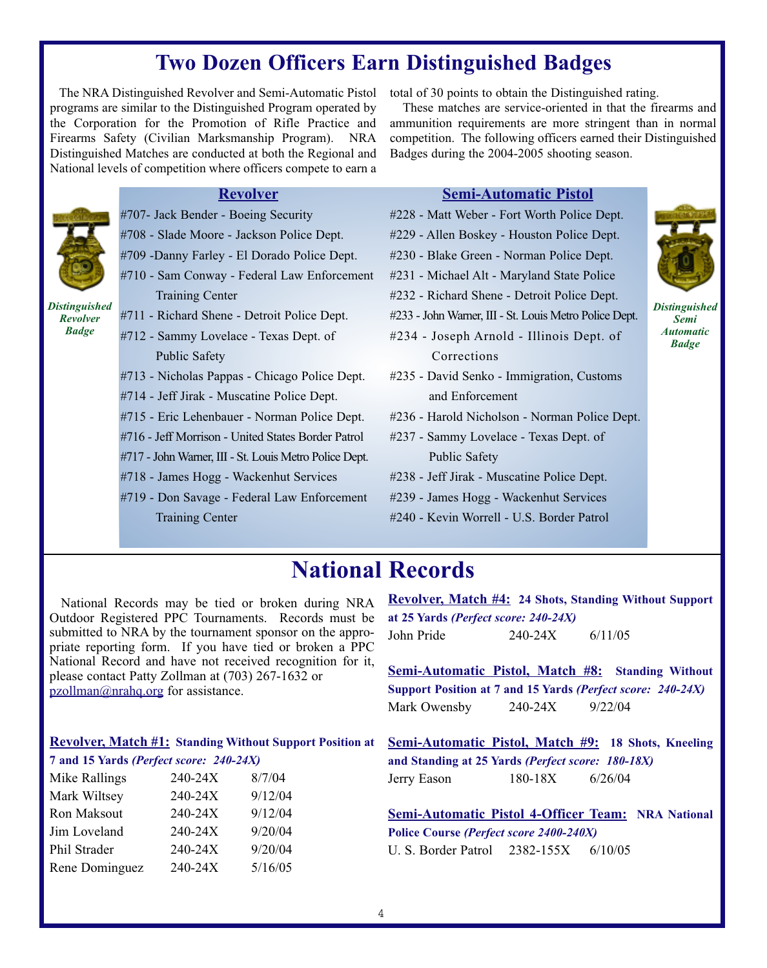### **Two Dozen Officers Earn Distinguished Badges**

The NRA Distinguished Revolver and Semi-Automatic Pistol programs are similar to the Distinguished Program operated by the Corporation for the Promotion of Rifle Practice and Firearms Safety (Civilian Marksmanship Program). NRA Distinguished Matches are conducted at both the Regional and National levels of competition where officers compete to earn a

total of 30 points to obtain the Distinguished rating.

These matches are service-oriented in that the firearms and ammunition requirements are more stringent than in normal competition. The following officers earned their Distinguished Badges during the 2004-2005 shooting season.

### **Revolver**



*Badge*

- #707- Jack Bender Boeing Security
- #708 Slade Moore Jackson Police Dept.
- #709 -Danny Farley El Dorado Police Dept.
- #710 Sam Conway Federal Law Enforcement Training Center

*Distinguished Revolver* #711 - Richard Shene - Detroit Police Dept.

- #712 Sammy Lovelace Texas Dept. of Public Safety
- #713 Nicholas Pappas Chicago Police Dept.
- #714 Jeff Jirak Muscatine Police Dept.
- #715 Eric Lehenbauer Norman Police Dept.
- #716 Jeff Morrison United States Border Patrol
- #717 John Warner, III St. Louis Metro Police Dept.
- #718 James Hogg Wackenhut Services
- #719 Don Savage Federal Law Enforcement Training Center

### **Semi-Automatic Pistol**

- #228 Matt Weber Fort Worth Police Dept.
- #229 Allen Boskey Houston Police Dept.
- #230 Blake Green Norman Police Dept.
- #231 Michael Alt Maryland State Police
- #232 Richard Shene Detroit Police Dept.
- #233 John Warner, III St. Louis Metro Police Dept.
- #234 Joseph Arnold Illinois Dept. of Corrections
- #235 David Senko Immigration, Customs and Enforcement
- #236 Harold Nicholson Norman Police Dept.
- #237 Sammy Lovelace Texas Dept. of Public Safety
- #238 Jeff Jirak Muscatine Police Dept.
- #239 James Hogg Wackenhut Services
- #240 Kevin Worrell U.S. Border Patrol

# **National Records**

National Records may be tied or broken during NRA Outdoor Registered PPC Tournaments. Records must be submitted to NRA by the tournament sponsor on the appropriate reporting form. If you have tied or broken a PPC National Record and have not received recognition for it, please contact Patty Zollman at (703) 267-1632 or pzollman@nrahq.org for assistance.

| <b>Revolver, Match #1: Standing Without Support Position at</b> |  |  |  |  |
|-----------------------------------------------------------------|--|--|--|--|
|-----------------------------------------------------------------|--|--|--|--|

| 7 and 15 Yards (Perfect score: 240-24X) |         |         |
|-----------------------------------------|---------|---------|
| Mike Rallings                           | 240-24X | 8/7/04  |
| Mark Wiltsey                            | 240-24X | 9/12/04 |
| Ron Maksout                             | 240-24X | 9/12/04 |
| Jim Loveland                            | 240-24X | 9/20/04 |
| Phil Strader                            | 240-24X | 9/20/04 |
| Rene Dominguez                          | 240-24X | 5/16/05 |

| <b>Revolver, Match #4: 24 Shots, Standing Without Support</b> |         |         |  |
|---------------------------------------------------------------|---------|---------|--|
| at 25 Yards ( <i>Perfect score: 240-24X</i> )                 |         |         |  |
| John Pride                                                    | 240-24X | 6/11/05 |  |

**Semi-Automatic Pistol, Match #8: Standing Without Support Position at 7 and 15 Yards** *(Perfect score: 240-24X)* Mark Owensby 240-24X 9/22/04

**Semi-Automatic Pistol, Match #9: 18 Shots, Kneeling and Standing at 25 Yards** *(Perfect score: 180-18X)* Jerry Eason 180-18X 6/26/04

**Semi-Automatic Pistol 4-Officer Team: NRA National Police Course** *(Perfect score 2400-240X)* U. S. Border Patrol 2382-155X 6/10/05

*Distinguished Semi Automatic Badge*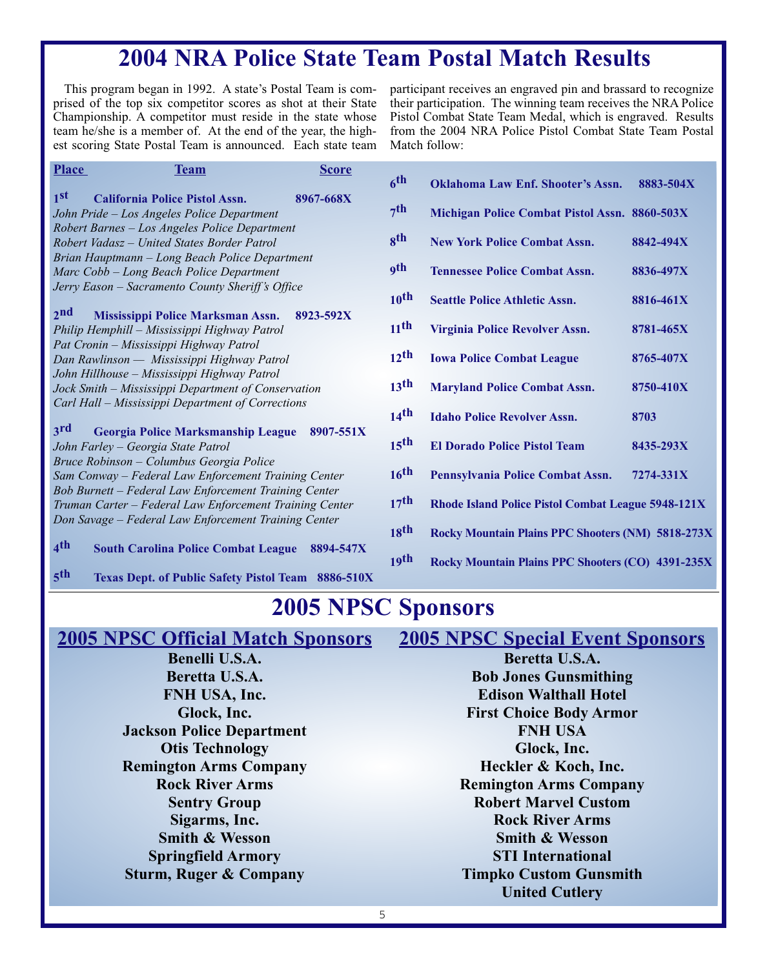# **2004 NRA Police State Team Postal Match Results**

This program began in 1992. A state's Postal Team is comprised of the top six competitor scores as shot at their State Championship. A competitor must reside in the state whose team he/she is a member of. At the end of the year, the highest scoring State Postal Team is announced. Each state team

participant receives an engraved pin and brassard to recognize their participation. The winning team receives the NRA Police Pistol Combat State Team Medal, which is engraved. Results from the 2004 NRA Police Pistol Combat State Team Postal Match follow:

| <b>Place</b><br><b>Team</b>                                                                      | <b>Score</b> |                    |                                                           |           |
|--------------------------------------------------------------------------------------------------|--------------|--------------------|-----------------------------------------------------------|-----------|
|                                                                                                  |              | 6 <sup>th</sup>    | <b>Oklahoma Law Enf. Shooter's Assn.</b>                  | 8883-504X |
| 1 <sup>st</sup><br><b>California Police Pistol Assn.</b>                                         | 8967-668X    |                    |                                                           |           |
| John Pride - Los Angeles Police Department                                                       |              | 7 <sup>th</sup>    | Michigan Police Combat Pistol Assn. 8860-503X             |           |
| Robert Barnes - Los Angeles Police Department                                                    |              |                    |                                                           |           |
| Robert Vadasz - United States Border Patrol                                                      |              | <b>gth</b>         | <b>New York Police Combat Assn.</b>                       | 8842-494X |
| Brian Hauptmann - Long Beach Police Department                                                   |              | <b>9th</b>         |                                                           |           |
| Marc Cobb - Long Beach Police Department                                                         |              |                    | <b>Tennessee Police Combat Assn.</b>                      | 8836-497X |
| Jerry Eason - Sacramento County Sheriff's Office                                                 |              | 10 <sup>th</sup>   | <b>Seattle Police Athletic Assn.</b>                      | 8816-461X |
| 2 <sub>nd</sub><br>Mississippi Police Marksman Assn.                                             | 8923-592X    |                    |                                                           |           |
| Philip Hemphill - Mississippi Highway Patrol                                                     |              | $11$ <sup>th</sup> | Virginia Police Revolver Assn.                            | 8781-465X |
| Pat Cronin - Mississippi Highway Patrol                                                          |              |                    |                                                           |           |
| Dan Rawlinson — Mississippi Highway Patrol                                                       |              | $12$ <sup>th</sup> | <b>Iowa Police Combat League</b>                          | 8765-407X |
| John Hillhouse - Mississippi Highway Patrol                                                      |              |                    |                                                           |           |
| Jock Smith – Mississippi Department of Conservation                                              |              | 13 <sup>th</sup>   | <b>Maryland Police Combat Assn.</b>                       | 8750-410X |
| Carl Hall – Mississippi Department of Corrections                                                |              |                    |                                                           |           |
|                                                                                                  |              | $14$ <sup>th</sup> | <b>Idaho Police Revolver Assn.</b>                        | 8703      |
| $3^{\rm rd}$<br><b>Georgia Police Marksmanship League</b>                                        | 8907-551X    | 15 <sup>th</sup>   |                                                           |           |
| John Farley - Georgia State Patrol                                                               |              |                    | <b>El Dorado Police Pistol Team</b>                       | 8435-293X |
| Bruce Robinson - Columbus Georgia Police<br>Sam Conway - Federal Law Enforcement Training Center |              | 16 <sup>th</sup>   | Pennsylvania Police Combat Assn.                          | 7274-331X |
| Bob Burnett - Federal Law Enforcement Training Center                                            |              |                    |                                                           |           |
| Truman Carter - Federal Law Enforcement Training Center                                          |              | 17 <sup>th</sup>   | <b>Rhode Island Police Pistol Combat League 5948-121X</b> |           |
| Don Savage - Federal Law Enforcement Training Center                                             |              |                    |                                                           |           |
|                                                                                                  |              | 18 <sup>th</sup>   | Rocky Mountain Plains PPC Shooters (NM) 5818-273X         |           |
| 4 <sup>th</sup><br><b>South Carolina Police Combat League</b>                                    | 8894-547X    |                    |                                                           |           |
|                                                                                                  |              | 19 <sup>th</sup>   | <b>Rocky Mountain Plains PPC Shooters (CO) 4391-235X</b>  |           |

**5th Texas Dept. of Public Safety Pistol Team 8886-510X**

## **2005 NPSC Sponsors**

### **2005 NPSC Official Match Sponsors**

**Benelli U.S.A. Beretta U.S.A. FNH USA, Inc. Glock, Inc. Jackson Police Department Otis Technology Remington Arms Company Rock River Arms Sentry Group Sigarms, Inc. Smith & Wesson Springfield Armory Sturm, Ruger & Company**

**2005 NPSC Special Event Sponsors Beretta U.S.A. Bob Jones Gunsmithing Edison Walthall Hotel First Choice Body Armor FNH USA Glock, Inc. Heckler & Koch, Inc. Remington Arms Company Robert Marvel Custom Rock River Arms Smith & Wesson STI International Timpko Custom Gunsmith United Cutlery**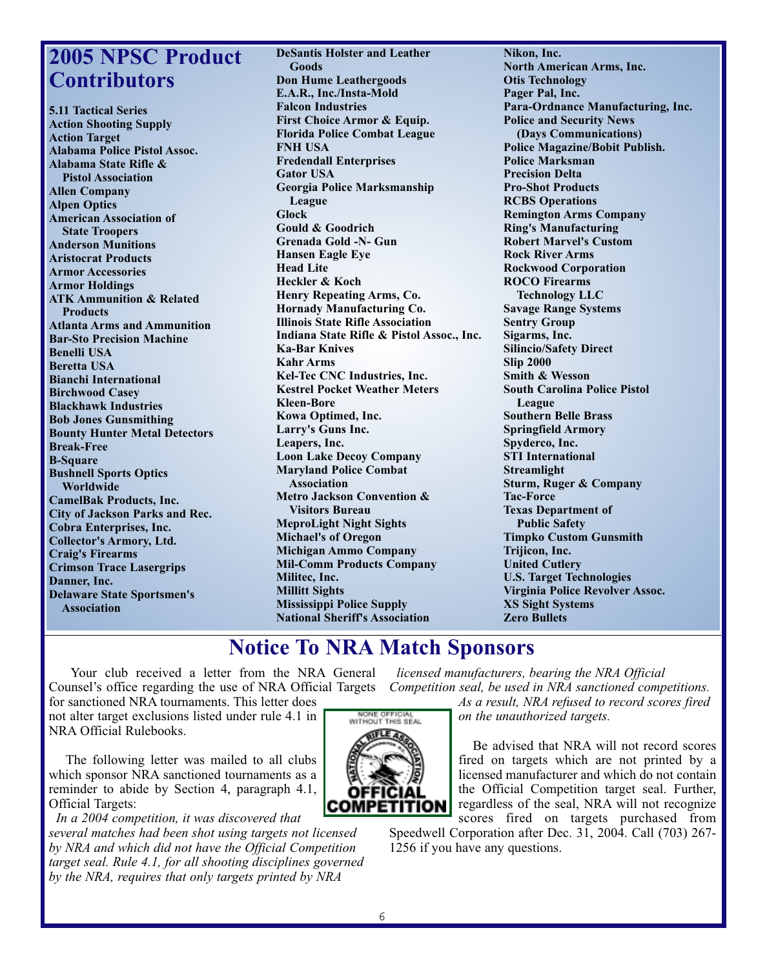# **2005 NPSC Product Contributors**

**5.11 Tactical Series Action Shooting Supply Action Target Alabama Police Pistol Assoc. Alabama State Rifle & Pistol Association Allen Company Alpen Optics American Association of State Troopers Anderson Munitions Aristocrat Products Armor Accessories Armor Holdings ATK Ammunition & Related Products Atlanta Arms and Ammunition Bar-Sto Precision Machine Benelli USA Beretta USA Bianchi International Birchwood Casey Blackhawk Industries Bob Jones Gunsmithing Bounty Hunter Metal Detectors Break-Free B-Square Bushnell Sports Optics Worldwide CamelBak Products, Inc. City of Jackson Parks and Rec. Cobra Enterprises, Inc. Collector's Armory, Ltd. Craig's Firearms Crimson Trace Lasergrips Danner, Inc. Delaware State Sportsmen's Association**

**DeSantis Holster and Leather Goods Don Hume Leathergoods E.A.R., Inc./Insta-Mold Falcon Industries First Choice Armor & Equip. Florida Police Combat League FNH USA Fredendall Enterprises Gator USA Georgia Police Marksmanship League Glock Gould & Goodrich Grenada Gold -N- Gun Hansen Eagle Eye Head Lite Heckler & Koch Henry Repeating Arms, Co. Hornady Manufacturing Co. Illinois State Rifle Association Indiana State Rifle & Pistol Assoc., Inc. Ka-Bar Knives Kahr Arms Kel-Tec CNC Industries, Inc. Kestrel Pocket Weather Meters Kleen-Bore Kowa Optimed, Inc. Larry's Guns Inc. Leapers, Inc. Loon Lake Decoy Company Maryland Police Combat Association Metro Jackson Convention & Visitors Bureau MeproLight Night Sights Michael's of Oregon Michigan Ammo Company Mil-Comm Products Company Militec, Inc. Millitt Sights Mississippi Police Supply National Sheriff's Association**

**Nikon, Inc. North American Arms, Inc. Otis Technology Pager Pal, Inc. Para-Ordnance Manufacturing, Inc. Police and Security News (Days Communications) Police Magazine/Bobit Publish. Police Marksman Precision Delta Pro-Shot Products RCBS Operations Remington Arms Company Ring's Manufacturing Robert Marvel's Custom Rock River Arms Rockwood Corporation ROCO Firearms Technology LLC Savage Range Systems Sentry Group Sigarms, Inc. Silincio/Safety Direct Slip 2000 Smith & Wesson South Carolina Police Pistol League Southern Belle Brass Springfield Armory Spyderco, Inc. STI International Streamlight Sturm, Ruger & Company Tac-Force Texas Department of Public Safety Timpko Custom Gunsmith Trijicon, Inc. United Cutlery U.S. Target Technologies Virginia Police Revolver Assoc. XS Sight Systems**

### **Notice To NRA Match Sponsors**

Your club received a letter from the NRA General Counsel's office regarding the use of NRA Official Targets Competition seal, be used in NRA sanctioned competitions. for sanctioned NRA tournaments. This letter does

not alter target exclusions listed under rule 4.1 in NRA Official Rulebooks.

The following letter was mailed to all clubs which sponsor NRA sanctioned tournaments as a reminder to abide by Section 4, paragraph 4.1, Official Targets:

*In a 2004 competition, it was discovered that several matches had been shot using targets not licensed by NRA and which did not have the Official Competition target seal. Rule 4.1, for all shooting disciplines governed by the NRA, requires that only targets printed by NRA*

*licensed manufacturers, bearing the NRA Official* 

**Zero Bullets**

*As a result, NRA refused to record scores fired on the unauthorized targets.* 

Be advised that NRA will not record scores fired on targets which are not printed by a licensed manufacturer and which do not contain the Official Competition target seal. Further, regardless of the seal, NRA will not recognize scores fired on targets purchased from

Speedwell Corporation after Dec. 31, 2004. Call (703) 267- 1256 if you have any questions.

NONE OFFICIAL<br>WITHOUT THIS SEAL OFFICIAI **COMPETITION**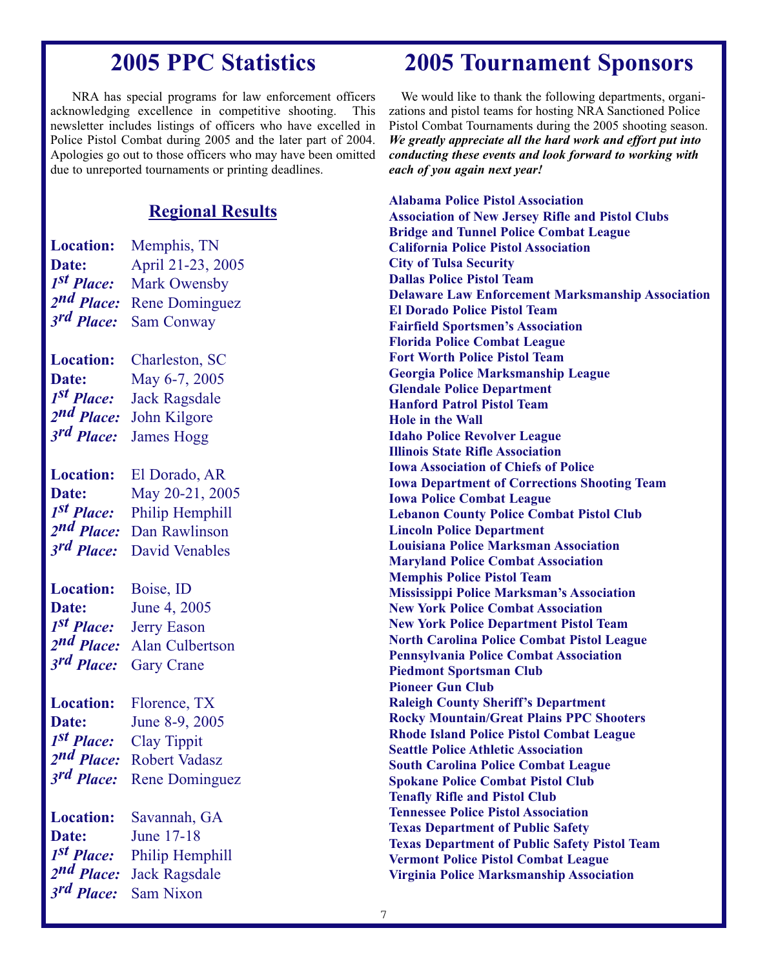# **2005 PPC Statistics**

NRA has special programs for law enforcement officers acknowledging excellence in competitive shooting. This newsletter includes listings of officers who have excelled in Police Pistol Combat during 2005 and the later part of 2004. Apologies go out to those officers who may have been omitted due to unreported tournaments or printing deadlines.

### **Regional Results**

| <b>Location:</b>                     | Memphis, TN                                 |
|--------------------------------------|---------------------------------------------|
| Date:                                | April 21-23, 2005                           |
| 1 <sup>st</sup> Place:               | <b>Mark Owensby</b>                         |
| 2nd Place:                           | <b>Rene Dominguez</b>                       |
| 3rd Place:                           | <b>Sam Conway</b>                           |
|                                      |                                             |
| <b>Location:</b>                     | Charleston, SC                              |
| Date:                                | May 6-7, 2005                               |
| 1 <sup>st</sup> Place:               | <b>Jack Ragsdale</b>                        |
| 2nd Place:                           | John Kilgore                                |
| 3rd Place:                           | <b>James Hogg</b>                           |
|                                      |                                             |
| <b>Location:</b>                     | El Dorado, AR                               |
| Date:                                | May 20-21, 2005                             |
| 1 <sup>st</sup> Place:               | Philip Hemphill                             |
| 2nd Place:                           | Dan Rawlinson                               |
| $3rd$ Place:                         | <b>David Venables</b>                       |
|                                      |                                             |
|                                      |                                             |
| <b>Location:</b>                     | Boise, ID                                   |
| Date:                                | June 4, 2005                                |
| 1 <sup>st</sup> Place:               | <b>Jerry Eason</b>                          |
| 2nd Place:                           | <b>Alan Culbertson</b>                      |
| 3rd Place:                           | <b>Gary Crane</b>                           |
|                                      |                                             |
| <b>Location:</b>                     | Florence, TX                                |
| Date:                                | June 8-9, 2005                              |
| 1 <sup>st</sup> Place:               | Clay Tippit                                 |
|                                      | 2nd Place: Robert Vadasz                    |
|                                      | 3rd Place: Rene Dominguez                   |
| <b>Location:</b>                     | Savannah, GA                                |
| Date:                                | June 17-18                                  |
|                                      |                                             |
| 1 <sup>st</sup> Place:<br>3rd Place: | Philip Hemphill<br>2nd Place: Jack Ragsdale |

# **2005 Tournament Sponsors**

We would like to thank the following departments, organizations and pistol teams for hosting NRA Sanctioned Police Pistol Combat Tournaments during the 2005 shooting season. *We greatly appreciate all the hard work and effort put into conducting these events and look forward to working with each of you again next year!*

**Alabama Police Pistol Association Association of New Jersey Rifle and Pistol Clubs Bridge and Tunnel Police Combat League California Police Pistol Association City of Tulsa Security Dallas Police Pistol Team Delaware Law Enforcement Marksmanship Association El Dorado Police Pistol Team Fairfield Sportsmen's Association Florida Police Combat League Fort Worth Police Pistol Team Georgia Police Marksmanship League Glendale Police Department Hanford Patrol Pistol Team Hole in the Wall Idaho Police Revolver League Illinois State Rifle Association Iowa Association of Chiefs of Police Iowa Department of Corrections Shooting Team Iowa Police Combat League Lebanon County Police Combat Pistol Club Lincoln Police Department Louisiana Police Marksman Association Maryland Police Combat Association Memphis Police Pistol Team Mississippi Police Marksman's Association New York Police Combat Association New York Police Department Pistol Team North Carolina Police Combat Pistol League Pennsylvania Police Combat Association Piedmont Sportsman Club Pioneer Gun Club Raleigh County Sheriff's Department Rocky Mountain/Great Plains PPC Shooters Rhode Island Police Pistol Combat League Seattle Police Athletic Association South Carolina Police Combat League Spokane Police Combat Pistol Club Tenafly Rifle and Pistol Club Tennessee Police Pistol Association Texas Department of Public Safety Texas Department of Public Safety Pistol Team Vermont Police Pistol Combat League Virginia Police Marksmanship Association**